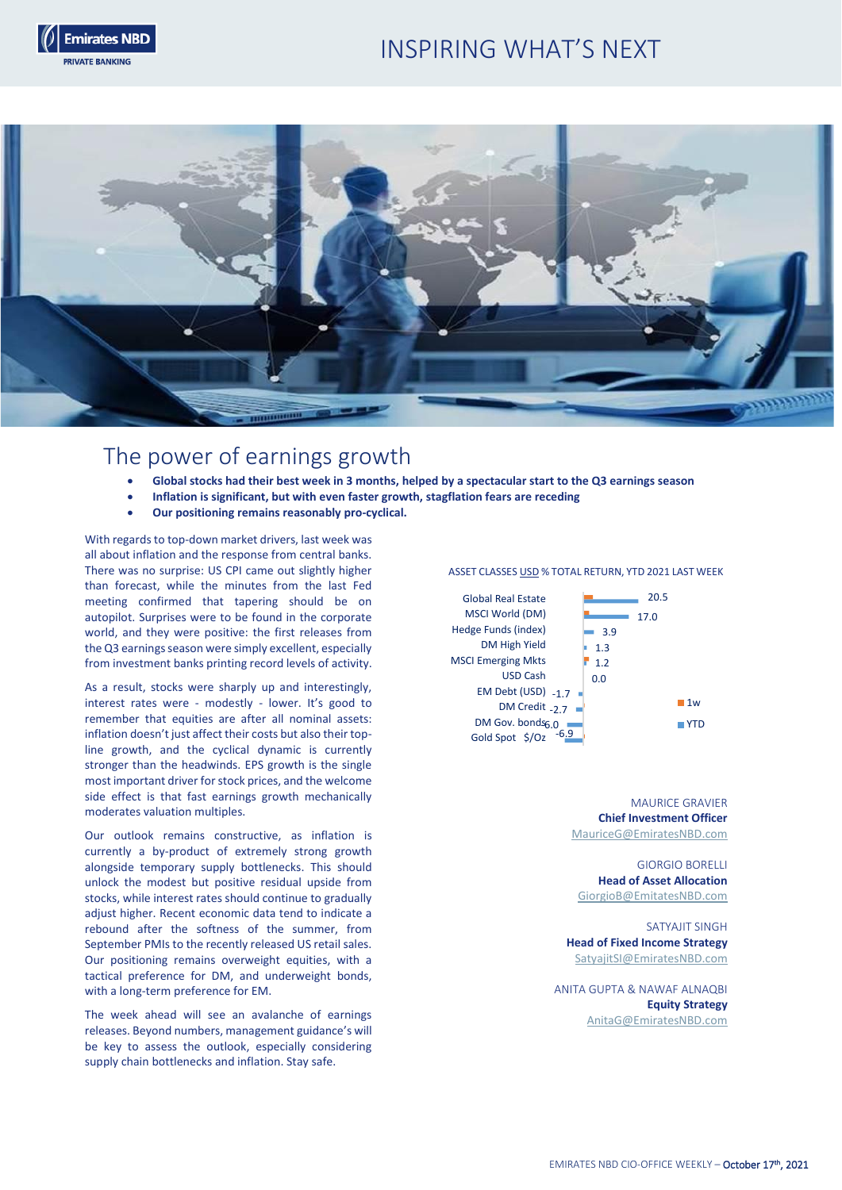# INSPIRING WHAT'S NEXT





# The power of earnings growth

- **Global stocks had their best week in 3 months, helped by a spectacular start to the Q3 earnings season**
- **Inflation is significant, but with even faster growth, stagflation fears are receding**
- **Our positioning remains reasonably pro-cyclical.**

With regards to top-down market drivers, last week was all about inflation and the response from central banks. There was no surprise: US CPI came out slightly higher than forecast, while the minutes from the last Fed meeting confirmed that tapering should be on autopilot. Surprises were to be found in the corporate world, and they were positive: the first releases from the Q3 earnings season were simply excellent, especially from investment banks printing record levels of activity.

As a result, stocks were sharply up and interestingly, interest rates were - modestly - lower. It's good to remember that equities are after all nominal assets: inflation doesn't just affect their costs but also their topline growth, and the cyclical dynamic is currently stronger than the headwinds. EPS growth is the single most important driver for stock prices, and the welcome side effect is that fast earnings growth mechanically moderates valuation multiples.

Our outlook remains constructive, as inflation is currently a by-product of extremely strong growth alongside temporary supply bottlenecks. This should unlock the modest but positive residual upside from stocks, while interest rates should continue to gradually adjust higher. Recent economic data tend to indicate a rebound after the softness of the summer, from September PMIs to the recently released US retail sales. Our positioning remains overweight equities, with a tactical preference for DM, and underweight bonds, with a long-term preference for EM.

The week ahead will see an avalanche of earnings releases. Beyond numbers, management guidance's will be key to assess the outlook, especially considering supply chain bottlenecks and inflation. Stay safe.

## ASSET CLASSES USD % TOTAL RETURN, YTD 2021 LAST WEEK



MAURICE GRAVIER **Chief Investment Officer** [MauriceG@EmiratesNBD.com](mailto:MauriceG@EmiratesNBD.com)

GIORGIO BORELLI **Head of Asset Allocation** [GiorgioB@EmitatesNBD.com](mailto:GiorgioB@EmitatesNBD.com)

SATYAJIT SINGH **Head of Fixed Income Strategy** [SatyajitSI@EmiratesNBD.com](mailto:YahyaS@EmiratesNBD.com)

ANITA GUPTA & NAWAF ALNAQBI **Equity Strategy** [AnitaG@EmiratesNBD.com](mailto:AnitaG@EmiratesNBD.com)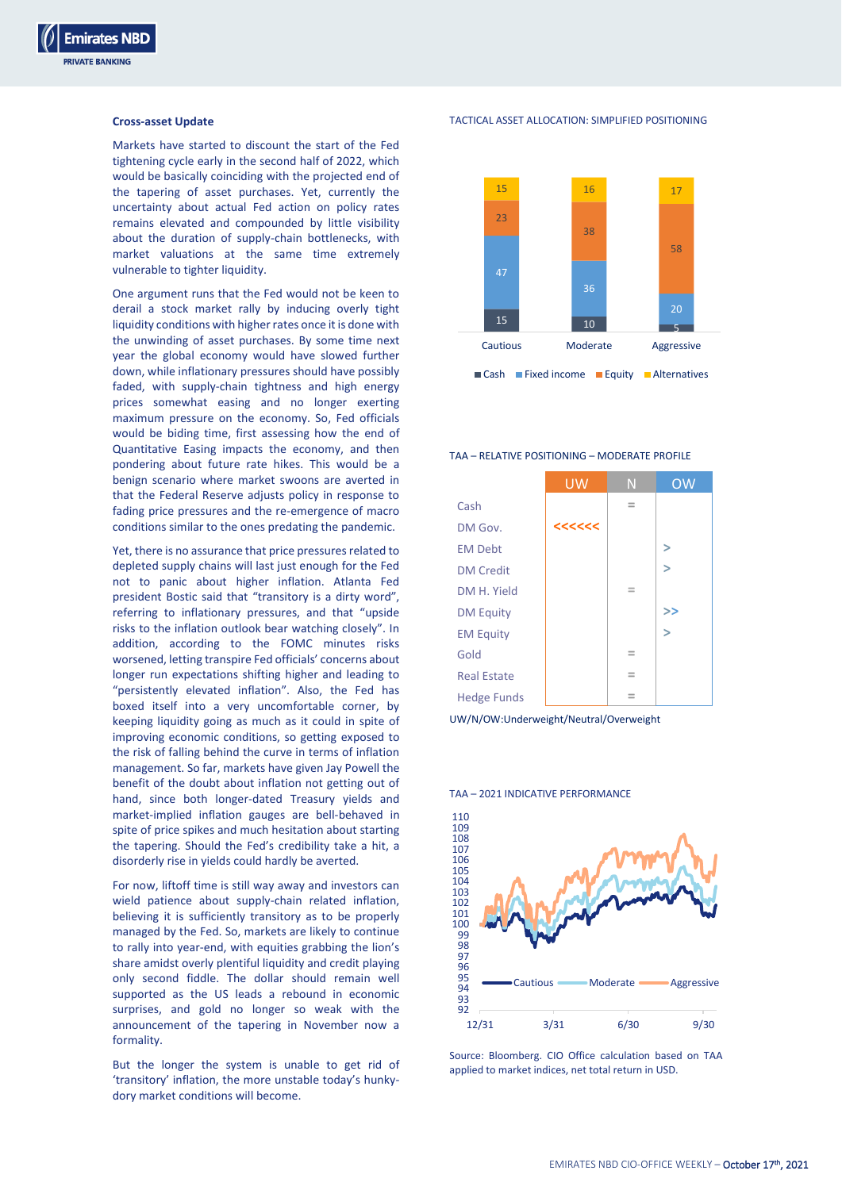## **Cross-asset Update**

Markets have started to discount the start of the Fed tightening cycle early in the second half of 2022, which would be basically coinciding with the projected end of the tapering of asset purchases. Yet, currently the uncertainty about actual Fed action on policy rates remains elevated and compounded by little visibility about the duration of supply-chain bottlenecks, with market valuations at the same time extremely vulnerable to tighter liquidity.

One argument runs that the Fed would not be keen to derail a stock market rally by inducing overly tight liquidity conditions with higher rates once it is done with the unwinding of asset purchases. By some time next year the global economy would have slowed further down, while inflationary pressures should have possibly faded, with supply-chain tightness and high energy prices somewhat easing and no longer exerting maximum pressure on the economy. So, Fed officials would be biding time, first assessing how the end of Quantitative Easing impacts the economy, and then pondering about future rate hikes. This would be a benign scenario where market swoons are averted in that the Federal Reserve adjusts policy in response to fading price pressures and the re-emergence of macro conditions similar to the ones predating the pandemic.

Yet, there is no assurance that price pressures related to depleted supply chains will last just enough for the Fed not to panic about higher inflation. Atlanta Fed president Bostic said that "transitory is a dirty word", referring to inflationary pressures, and that "upside risks to the inflation outlook bear watching closely". In addition, according to the FOMC minutes risks worsened, letting transpire Fed officials' concerns about longer run expectations shifting higher and leading to "persistently elevated inflation". Also, the Fed has boxed itself into a very uncomfortable corner, by keeping liquidity going as much as it could in spite of improving economic conditions, so getting exposed to the risk of falling behind the curve in terms of inflation management. So far, markets have given Jay Powell the benefit of the doubt about inflation not getting out of hand, since both longer-dated Treasury yields and market-implied inflation gauges are bell-behaved in spite of price spikes and much hesitation about starting the tapering. Should the Fed's credibility take a hit, a disorderly rise in yields could hardly be averted.

For now, liftoff time is still way away and investors can wield patience about supply-chain related inflation, believing it is sufficiently transitory as to be properly managed by the Fed. So, markets are likely to continue to rally into year-end, with equities grabbing the lion's share amidst overly plentiful liquidity and credit playing only second fiddle. The dollar should remain well supported as the US leads a rebound in economic surprises, and gold no longer so weak with the announcement of the tapering in November now a formality.

But the longer the system is unable to get rid of 'transitory' inflation, the more unstable today's hunkydory market conditions will become.

TACTICAL ASSET ALLOCATION: SIMPLIFIED POSITIONING



TAA – RELATIVE POSITIONING – MODERATE PROFILE

|                    | UW    | N                             | <b>OW</b> |
|--------------------|-------|-------------------------------|-----------|
| Cash               |       | $\overline{\phantom{a}}$<br>- |           |
| DM Gov.            | <<<<< |                               |           |
| <b>EM Debt</b>     |       |                               | >         |
| <b>DM Credit</b>   |       |                               | 5         |
| DM H. Yield        |       | $\overline{\phantom{a}}$<br>- |           |
| <b>DM Equity</b>   |       |                               | >>        |
| <b>EM Equity</b>   |       |                               | >         |
| Gold               |       | -<br>-                        |           |
| <b>Real Estate</b> |       | -                             |           |
| <b>Hedge Funds</b> |       |                               |           |

UW/N/OW:Underweight/Neutral/Overweight

TAA – 2021 INDICATIVE PERFORMANCE



Source: Bloomberg. CIO Office calculation based on TAA applied to market indices, net total return in USD.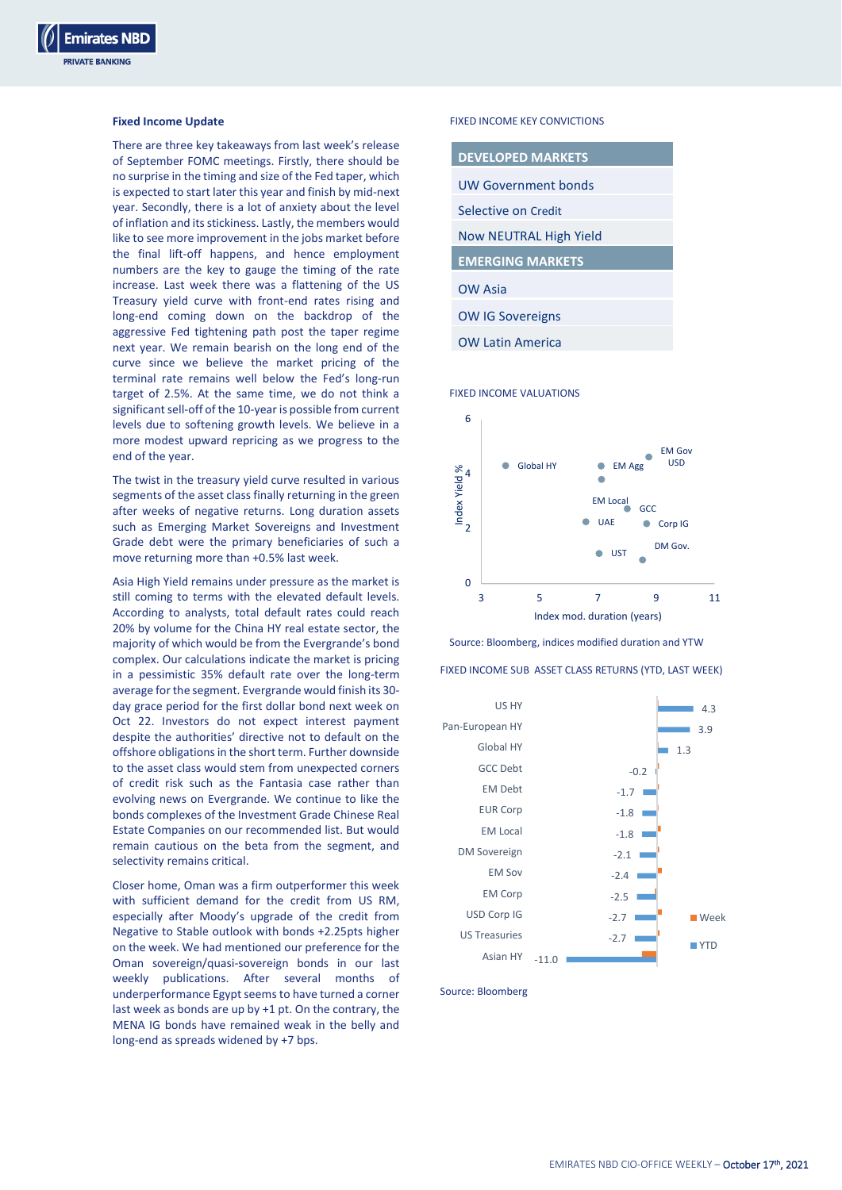## **Fixed Income Update**

There are three key takeaways from last week's release of September FOMC meetings. Firstly, there should be no surprise in the timing and size of the Fed taper, which is expected to start later this year and finish by mid-next year. Secondly, there is a lot of anxiety about the level of inflation and its stickiness. Lastly, the members would like to see more improvement in the jobs market before the final lift-off happens, and hence employment numbers are the key to gauge the timing of the rate increase. Last week there was a flattening of the US Treasury yield curve with front-end rates rising and long-end coming down on the backdrop of the aggressive Fed tightening path post the taper regime next year. We remain bearish on the long end of the curve since we believe the market pricing of the terminal rate remains well below the Fed's long-run target of 2.5%. At the same time, we do not think a significant sell-off of the 10-year is possible from current levels due to softening growth levels. We believe in a more modest upward repricing as we progress to the end of the year.

The twist in the treasury yield curve resulted in various segments of the asset class finally returning in the green after weeks of negative returns. Long duration assets such as Emerging Market Sovereigns and Investment Grade debt were the primary beneficiaries of such a move returning more than +0.5% last week.

Asia High Yield remains under pressure as the market is still coming to terms with the elevated default levels. According to analysts, total default rates could reach 20% by volume for the China HY real estate sector, the majority of which would be from the Evergrande's bond complex. Our calculations indicate the market is pricing in a pessimistic 35% default rate over the long-term average for the segment. Evergrande would finish its 30 day grace period for the first dollar bond next week on Oct 22. Investors do not expect interest payment despite the authorities' directive not to default on the offshore obligations in the short term. Further downside to the asset class would stem from unexpected corners of credit risk such as the Fantasia case rather than evolving news on Evergrande. We continue to like the bonds complexes of the Investment Grade Chinese Real Estate Companies on our recommended list. But would remain cautious on the beta from the segment, and selectivity remains critical.

Closer home, Oman was a firm outperformer this week with sufficient demand for the credit from US RM, especially after Moody's upgrade of the credit from Negative to Stable outlook with bonds +2.25pts higher on the week. We had mentioned our preference for the Oman sovereign/quasi-sovereign bonds in our last weekly publications. After several months of underperformance Egypt seemsto have turned a corner last week as bonds are up by +1 pt. On the contrary, the MENA IG bonds have remained weak in the belly and long-end as spreads widened by +7 bps.

## FIXED INCOME KEY CONVICTIONS

| <b>DEVELOPED MARKETS</b> |
|--------------------------|
| UW Government bonds      |
| Selective on Credit      |
| Now NEUTRAL High Yield   |
| <b>EMERGING MARKETS</b>  |
| OW Asia                  |
| <b>OW IG Sovereigns</b>  |
|                          |

### FIXED INCOME VALUATIONS



Source: Bloomberg, indices modified duration and YTW

FIXED INCOME SUB ASSET CLASS RETURNS (YTD, LAST WEEK)



Source: Bloomberg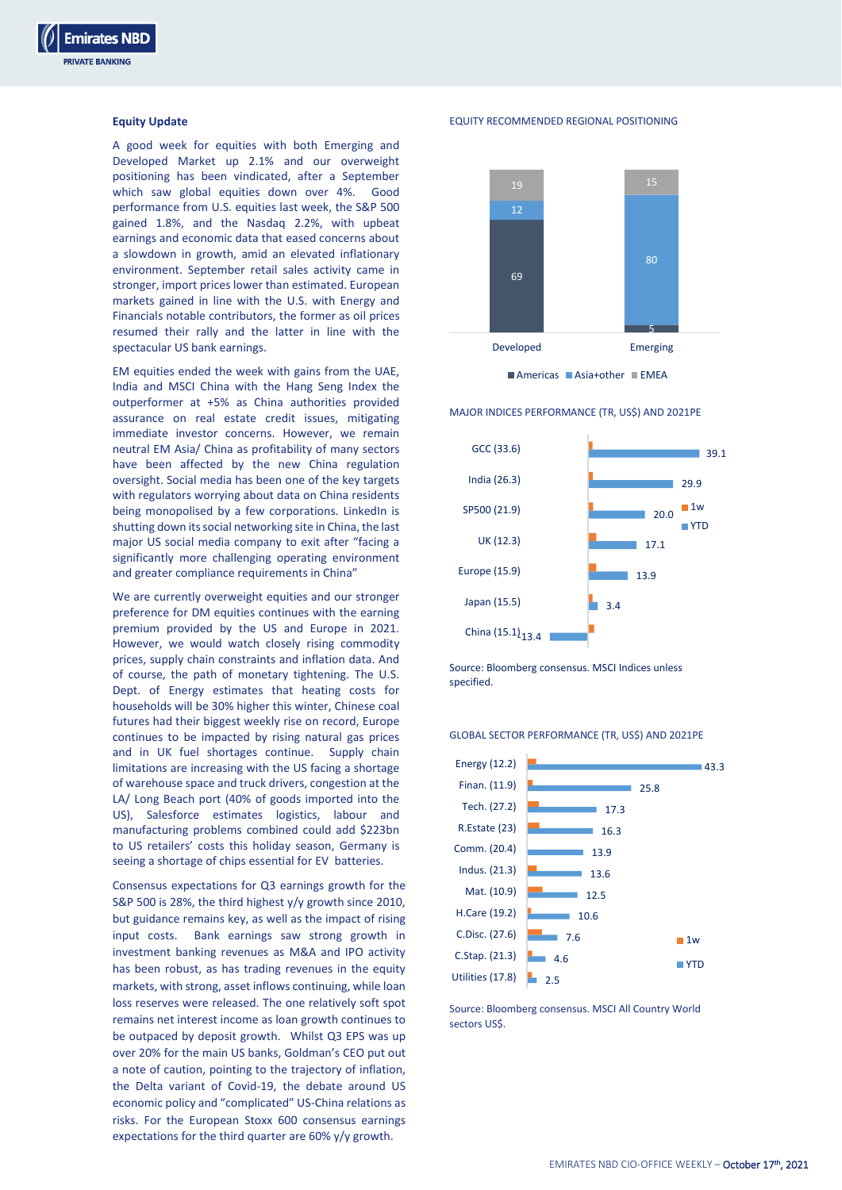

## **Equity Update**

A good week for equities with both Emerging and Developed Market up 2.1% and our overweight positioning has been vindicated, after a September which saw global equities down over 4%. Good performance from U.S. equities last week, the S&P 500 gained 1.8%, and the Nasdaq 2.2%, with upbeat earnings and economic data that eased concerns about a slowdown in growth, amid an elevated inflationary environment. September retail sales activity came in stronger, import prices lower than estimated. European markets gained in line with the U.S. with Energy and Financials notable contributors, the former as oil prices resumed their rally and the latter in line with the spectacular US bank earnings.

EM equities ended the week with gains from the UAE, India and MSCI China with the Hang Seng Index the outperformer at +5% as China authorities provided assurance on real estate credit issues, mitigating immediate investor concerns. However, we remain neutral EM Asia/ China as profitability of many sectors have been affected by the new China regulation oversight. Social media has been one of the key targets with regulators worrying about data on China residents being monopolised by a few corporations. LinkedIn is shutting down its social networking site in China, the last major US social media company to exit after "facing a significantly more challenging operating environment and greater compliance requirements in China"

We are currently overweight equities and our stronger preference for DM equities continues with the earning premium provided by the US and Europe in 2021. However, we would watch closely rising commodity prices, supply chain constraints and inflation data. And of course, the path of monetary tightening. The U.S. Dept. of Energy estimates that heating costs for households will be 30% higher this winter, Chinese coal futures had their biggest weekly rise on record, Europe continues to be impacted by rising natural gas prices and in UK fuel shortages continue. Supply chain limitations are increasing with the US facing a shortage of warehouse space and truck drivers, congestion at the LA/ Long Beach port (40% of goods imported into the US), Salesforce estimates logistics, labour and manufacturing problems combined could add \$223bn to US retailers' costs this holiday season, Germany is seeing a shortage of chips essential for EV batteries.

Consensus expectations for Q3 earnings growth for the S&P 500 is 28%, the third highest y/y growth since 2010, but guidance remains key, as well as the impact of rising input costs. Bank earnings saw strong growth in investment banking revenues as M&A and IPO activity has been robust, as has trading revenues in the equity markets, with strong, asset inflows continuing, while loan loss reserves were released. The one relatively soft spot remains net interest income as loan growth continues to be outpaced by deposit growth. Whilst Q3 EPS was up over 20% for the main US banks, Goldman's CEO put out a note of caution, pointing to the trajectory of inflation, the Delta variant of Covid-19, the debate around US economic policy and "complicated" US-China relations as risks. For the European Stoxx 600 consensus earnings expectations for the third quarter are 60% y/y growth.

EQUITY RECOMMENDED REGIONAL POSITIONING



 $\blacksquare$  Americas  $\blacksquare$  Asia+other  $\blacksquare$  FMFA

MAJOR INDICES PERFORMANCE (TR, US\$) AND 2021PE



Source: Bloomberg consensus. MSCI Indices unless specified.



GLOBAL SECTOR PERFORMANCE (TR, US\$) AND 2021PE

Source: Bloomberg consensus. MSCI All Country World sectors US\$.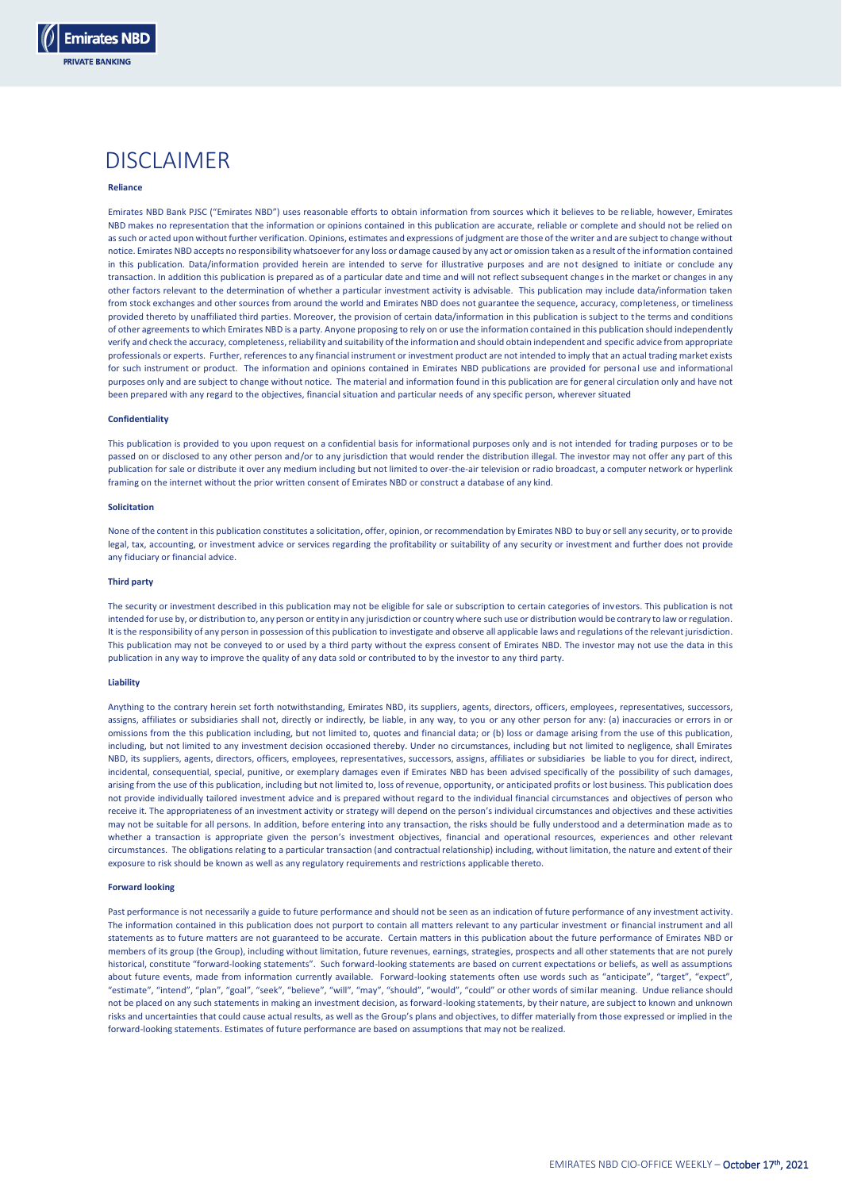

## DISCI AIMER

#### **Reliance**

Emirates NBD Bank PJSC ("Emirates NBD") uses reasonable efforts to obtain information from sources which it believes to be reliable, however, Emirates NBD makes no representation that the information or opinions contained in this publication are accurate, reliable or complete and should not be relied on as such or acted upon without further verification. Opinions, estimates and expressions of judgment are those of the writer and are subject to change without notice. Emirates NBD accepts no responsibility whatsoever for any loss or damage caused by any act or omission taken as a result of the information contained in this publication. Data/information provided herein are intended to serve for illustrative purposes and are not designed to initiate or conclude any transaction. In addition this publication is prepared as of a particular date and time and will not reflect subsequent changes in the market or changes in any other factors relevant to the determination of whether a particular investment activity is advisable. This publication may include data/information taken from stock exchanges and other sources from around the world and Emirates NBD does not guarantee the sequence, accuracy, completeness, or timeliness provided thereto by unaffiliated third parties. Moreover, the provision of certain data/information in this publication is subject to the terms and conditions of other agreements to which Emirates NBD is a party. Anyone proposing to rely on or use the information contained in this publication should independently verify and check the accuracy, completeness, reliability and suitability of the information and should obtain independent and specific advice from appropriate professionals or experts. Further, references to any financial instrument or investment product are not intended to imply that an actual trading market exists for such instrument or product. The information and opinions contained in Emirates NBD publications are provided for personal use and informational purposes only and are subject to change without notice. The material and information found in this publication are for general circulation only and have not been prepared with any regard to the objectives, financial situation and particular needs of any specific person, wherever situated

#### **Confidentiality**

This publication is provided to you upon request on a confidential basis for informational purposes only and is not intended for trading purposes or to be passed on or disclosed to any other person and/or to any jurisdiction that would render the distribution illegal. The investor may not offer any part of this publication for sale or distribute it over any medium including but not limited to over-the-air television or radio broadcast, a computer network or hyperlink framing on the internet without the prior written consent of Emirates NBD or construct a database of any kind.

#### **Solicitation**

None of the content in this publication constitutes a solicitation, offer, opinion, or recommendation by Emirates NBD to buy or sell any security, or to provide legal, tax, accounting, or investment advice or services regarding the profitability or suitability of any security or investment and further does not provide any fiduciary or financial advice.

#### **Third party**

The security or investment described in this publication may not be eligible for sale or subscription to certain categories of investors. This publication is not intended for use by, or distribution to, any person or entity in any jurisdiction or country where such use or distribution would be contrary to law or regulation. It is the responsibility of any person in possession of this publication to investigate and observe all applicable laws and regulations of the relevant jurisdiction. This publication may not be conveyed to or used by a third party without the express consent of Emirates NBD. The investor may not use the data in this publication in any way to improve the quality of any data sold or contributed to by the investor to any third party.

#### **Liability**

Anything to the contrary herein set forth notwithstanding, Emirates NBD, its suppliers, agents, directors, officers, employees, representatives, successors, assigns, affiliates or subsidiaries shall not, directly or indirectly, be liable, in any way, to you or any other person for any: (a) inaccuracies or errors in or omissions from the this publication including, but not limited to, quotes and financial data; or (b) loss or damage arising from the use of this publication, including, but not limited to any investment decision occasioned thereby. Under no circumstances, including but not limited to negligence, shall Emirates NBD, its suppliers, agents, directors, officers, employees, representatives, successors, assigns, affiliates or subsidiaries be liable to vou for direct. indirect. incidental, consequential, special, punitive, or exemplary damages even if Emirates NBD has been advised specifically of the possibility of such damages, arising from the use of this publication, including but not limited to, loss of revenue, opportunity, or anticipated profits or lost business. This publication does not provide individually tailored investment advice and is prepared without regard to the individual financial circumstances and objectives of person who receive it. The appropriateness of an investment activity or strategy will depend on the person's individual circumstances and objectives and these activities may not be suitable for all persons. In addition, before entering into any transaction, the risks should be fully understood and a determination made as to whether a transaction is appropriate given the person's investment objectives, financial and operational resources, experiences and other relevant circumstances. The obligations relating to a particular transaction (and contractual relationship) including, without limitation, the nature and extent of their exposure to risk should be known as well as any regulatory requirements and restrictions applicable thereto.

#### **Forward looking**

Past performance is not necessarily a guide to future performance and should not be seen as an indication of future performance of any investment activity. The information contained in this publication does not purport to contain all matters relevant to any particular investment or financial instrument and all statements as to future matters are not guaranteed to be accurate. Certain matters in this publication about the future performance of Emirates NBD or members of its group (the Group), including without limitation, future revenues, earnings, strategies, prospects and all other statements that are not purely historical, constitute "forward-looking statements". Such forward-looking statements are based on current expectations or beliefs, as well as assumptions about future events, made from information currently available. Forward-looking statements often use words such as "anticipate", "target", "expect", "estimate", "intend", "plan", "goal", "seek", "believe", "will", "may", "should", "would", "could" or other words of similar meaning. Undue reliance should not be placed on any such statements in making an investment decision, as forward-looking statements, by their nature, are subject to known and unknown risks and uncertainties that could cause actual results, as well as the Group's plans and objectives, to differ materially from those expressed or implied in the forward-looking statements. Estimates of future performance are based on assumptions that may not be realized.